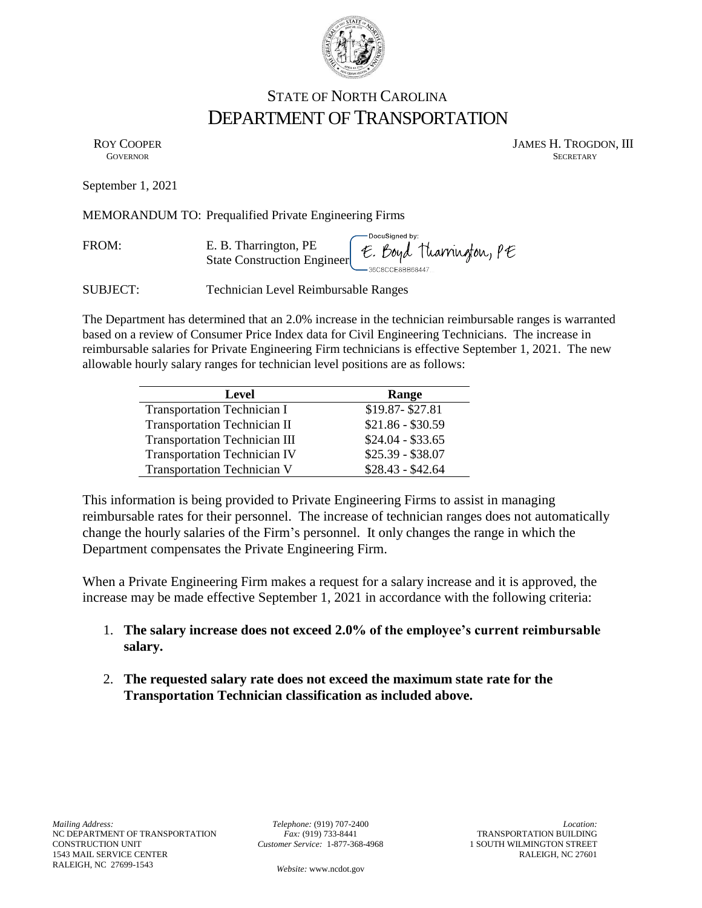

## STATE OF NORTH CAROLINA DEPARTMENT OF TRANSPORTATION

ROY COOPER JAMES H. TROGDON, III GOVERNOR SECRETARY SECRETARY **GOVERNOR** SECRETARY

September 1, 2021

MEMORANDUM TO: Prequalified Private Engineering Firms

FROM: E. B. Tharrington, PE E. Boyd Tharrington, PE State Construction Engineer

SUBJECT: Technician Level Reimbursable Ranges

The Department has determined that an 2.0% increase in the technician reimbursable ranges is warranted based on a review of Consumer Price Index data for Civil Engineering Technicians. The increase in reimbursable salaries for Private Engineering Firm technicians is effective September 1, 2021. The new allowable hourly salary ranges for technician level positions are as follows:

| Level                                | Range             |
|--------------------------------------|-------------------|
| <b>Transportation Technician I</b>   | \$19.87-\$27.81   |
| <b>Transportation Technician II</b>  | $$21.86 - $30.59$ |
| <b>Transportation Technician III</b> | $$24.04 - $33.65$ |
| <b>Transportation Technician IV</b>  | $$25.39 - $38.07$ |
| <b>Transportation Technician V</b>   | $$28.43 - $42.64$ |

This information is being provided to Private Engineering Firms to assist in managing reimbursable rates for their personnel. The increase of technician ranges does not automatically change the hourly salaries of the Firm's personnel. It only changes the range in which the Department compensates the Private Engineering Firm.

When a Private Engineering Firm makes a request for a salary increase and it is approved, the increase may be made effective September 1, 2021 in accordance with the following criteria:

- 1. **The salary increase does not exceed 2.0% of the employee's current reimbursable salary.**
- 2. **The requested salary rate does not exceed the maximum state rate for the Transportation Technician classification as included above.**

*Telephone:* (919) 707-2400 *Fax:* (919) 733-8441 *Customer Service:* 1-877-368-4968

*Location:* TRANSPORTATION BUILDING 1 SOUTH WILMINGTON STREET RALEIGH, NC 27601

*Website:* www.ncdot.gov